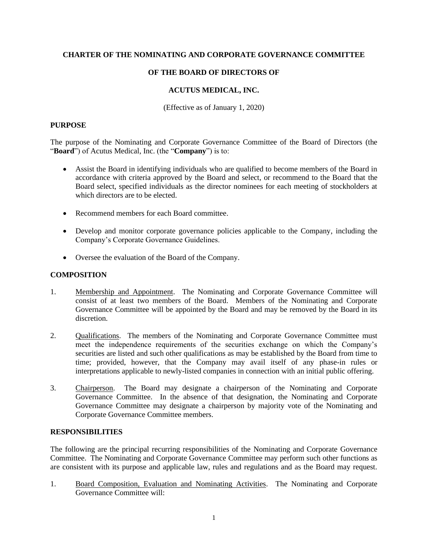## **CHARTER OF THE NOMINATING AND CORPORATE GOVERNANCE COMMITTEE**

# **OF THE BOARD OF DIRECTORS OF**

# **ACUTUS MEDICAL, INC.**

(Effective as of January 1, 2020)

#### **PURPOSE**

The purpose of the Nominating and Corporate Governance Committee of the Board of Directors (the "**Board**") of Acutus Medical, Inc. (the "**Company**") is to:

- Assist the Board in identifying individuals who are qualified to become members of the Board in accordance with criteria approved by the Board and select, or recommend to the Board that the Board select, specified individuals as the director nominees for each meeting of stockholders at which directors are to be elected.
- Recommend members for each Board committee.
- Develop and monitor corporate governance policies applicable to the Company, including the Company's Corporate Governance Guidelines.
- Oversee the evaluation of the Board of the Company.

## **COMPOSITION**

- 1. Membership and Appointment. The Nominating and Corporate Governance Committee will consist of at least two members of the Board. Members of the Nominating and Corporate Governance Committee will be appointed by the Board and may be removed by the Board in its discretion.
- 2. Qualifications. The members of the Nominating and Corporate Governance Committee must meet the independence requirements of the securities exchange on which the Company's securities are listed and such other qualifications as may be established by the Board from time to time; provided, however, that the Company may avail itself of any phase-in rules or interpretations applicable to newly-listed companies in connection with an initial public offering.
- 3. Chairperson. The Board may designate a chairperson of the Nominating and Corporate Governance Committee. In the absence of that designation, the Nominating and Corporate Governance Committee may designate a chairperson by majority vote of the Nominating and Corporate Governance Committee members.

## **RESPONSIBILITIES**

The following are the principal recurring responsibilities of the Nominating and Corporate Governance Committee. The Nominating and Corporate Governance Committee may perform such other functions as are consistent with its purpose and applicable law, rules and regulations and as the Board may request.

1. Board Composition, Evaluation and Nominating Activities. The Nominating and Corporate Governance Committee will: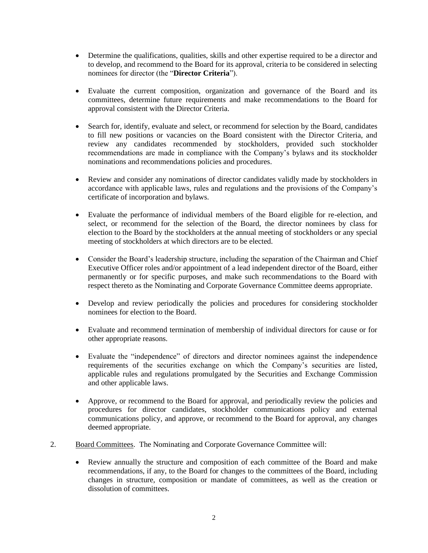- Determine the qualifications, qualities, skills and other expertise required to be a director and to develop, and recommend to the Board for its approval, criteria to be considered in selecting nominees for director (the "**Director Criteria**").
- Evaluate the current composition, organization and governance of the Board and its committees, determine future requirements and make recommendations to the Board for approval consistent with the Director Criteria.
- Search for, identify, evaluate and select, or recommend for selection by the Board, candidates to fill new positions or vacancies on the Board consistent with the Director Criteria, and review any candidates recommended by stockholders, provided such stockholder recommendations are made in compliance with the Company's bylaws and its stockholder nominations and recommendations policies and procedures.
- Review and consider any nominations of director candidates validly made by stockholders in accordance with applicable laws, rules and regulations and the provisions of the Company's certificate of incorporation and bylaws.
- Evaluate the performance of individual members of the Board eligible for re-election, and select, or recommend for the selection of the Board, the director nominees by class for election to the Board by the stockholders at the annual meeting of stockholders or any special meeting of stockholders at which directors are to be elected.
- Consider the Board's leadership structure, including the separation of the Chairman and Chief Executive Officer roles and/or appointment of a lead independent director of the Board, either permanently or for specific purposes, and make such recommendations to the Board with respect thereto as the Nominating and Corporate Governance Committee deems appropriate.
- Develop and review periodically the policies and procedures for considering stockholder nominees for election to the Board.
- Evaluate and recommend termination of membership of individual directors for cause or for other appropriate reasons.
- Evaluate the "independence" of directors and director nominees against the independence requirements of the securities exchange on which the Company's securities are listed, applicable rules and regulations promulgated by the Securities and Exchange Commission and other applicable laws.
- Approve, or recommend to the Board for approval, and periodically review the policies and procedures for director candidates, stockholder communications policy and external communications policy, and approve, or recommend to the Board for approval, any changes deemed appropriate.
- 2. Board Committees. The Nominating and Corporate Governance Committee will:
	- Review annually the structure and composition of each committee of the Board and make recommendations, if any, to the Board for changes to the committees of the Board, including changes in structure, composition or mandate of committees, as well as the creation or dissolution of committees.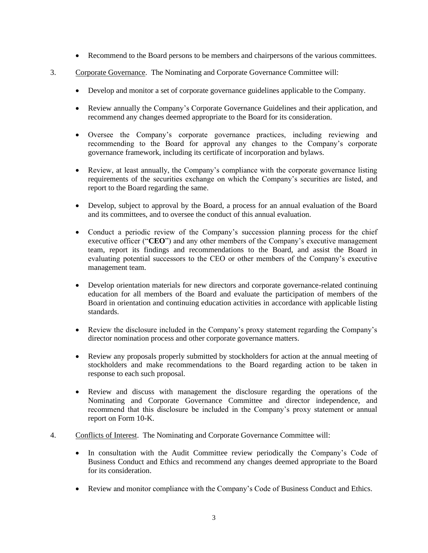- Recommend to the Board persons to be members and chairpersons of the various committees.
- 3. Corporate Governance. The Nominating and Corporate Governance Committee will:
	- Develop and monitor a set of corporate governance guidelines applicable to the Company.
	- Review annually the Company's Corporate Governance Guidelines and their application, and recommend any changes deemed appropriate to the Board for its consideration.
	- Oversee the Company's corporate governance practices, including reviewing and recommending to the Board for approval any changes to the Company's corporate governance framework, including its certificate of incorporation and bylaws.
	- Review, at least annually, the Company's compliance with the corporate governance listing requirements of the securities exchange on which the Company's securities are listed, and report to the Board regarding the same.
	- Develop, subject to approval by the Board, a process for an annual evaluation of the Board and its committees, and to oversee the conduct of this annual evaluation.
	- Conduct a periodic review of the Company's succession planning process for the chief executive officer ("**CEO**") and any other members of the Company's executive management team, report its findings and recommendations to the Board, and assist the Board in evaluating potential successors to the CEO or other members of the Company's executive management team.
	- Develop orientation materials for new directors and corporate governance-related continuing education for all members of the Board and evaluate the participation of members of the Board in orientation and continuing education activities in accordance with applicable listing standards.
	- Review the disclosure included in the Company's proxy statement regarding the Company's director nomination process and other corporate governance matters.
	- Review any proposals properly submitted by stockholders for action at the annual meeting of stockholders and make recommendations to the Board regarding action to be taken in response to each such proposal.
	- Review and discuss with management the disclosure regarding the operations of the Nominating and Corporate Governance Committee and director independence, and recommend that this disclosure be included in the Company's proxy statement or annual report on Form 10-K.
- 4. Conflicts of Interest. The Nominating and Corporate Governance Committee will:
	- In consultation with the Audit Committee review periodically the Company's Code of Business Conduct and Ethics and recommend any changes deemed appropriate to the Board for its consideration.
	- Review and monitor compliance with the Company's Code of Business Conduct and Ethics.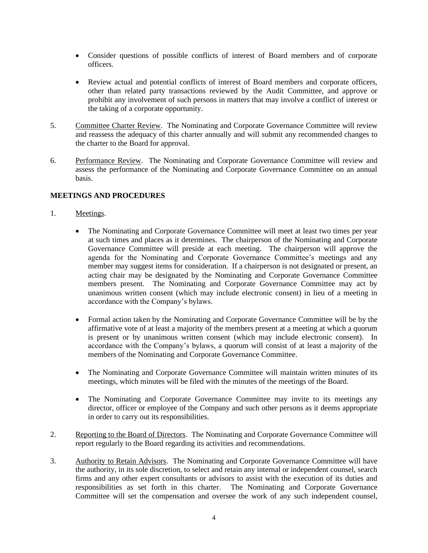- Consider questions of possible conflicts of interest of Board members and of corporate officers.
- Review actual and potential conflicts of interest of Board members and corporate officers, other than related party transactions reviewed by the Audit Committee, and approve or prohibit any involvement of such persons in matters that may involve a conflict of interest or the taking of a corporate opportunity.
- 5. Committee Charter Review. The Nominating and Corporate Governance Committee will review and reassess the adequacy of this charter annually and will submit any recommended changes to the charter to the Board for approval.
- 6. Performance Review. The Nominating and Corporate Governance Committee will review and assess the performance of the Nominating and Corporate Governance Committee on an annual basis.

# **MEETINGS AND PROCEDURES**

- 1. Meetings.
	- The Nominating and Corporate Governance Committee will meet at least two times per year at such times and places as it determines. The chairperson of the Nominating and Corporate Governance Committee will preside at each meeting. The chairperson will approve the agenda for the Nominating and Corporate Governance Committee's meetings and any member may suggest items for consideration. If a chairperson is not designated or present, an acting chair may be designated by the Nominating and Corporate Governance Committee members present. The Nominating and Corporate Governance Committee may act by unanimous written consent (which may include electronic consent) in lieu of a meeting in accordance with the Company's bylaws.
	- Formal action taken by the Nominating and Corporate Governance Committee will be by the affirmative vote of at least a majority of the members present at a meeting at which a quorum is present or by unanimous written consent (which may include electronic consent). In accordance with the Company's bylaws, a quorum will consist of at least a majority of the members of the Nominating and Corporate Governance Committee.
	- The Nominating and Corporate Governance Committee will maintain written minutes of its meetings, which minutes will be filed with the minutes of the meetings of the Board.
	- The Nominating and Corporate Governance Committee may invite to its meetings any director, officer or employee of the Company and such other persons as it deems appropriate in order to carry out its responsibilities.
- 2. Reporting to the Board of Directors. The Nominating and Corporate Governance Committee will report regularly to the Board regarding its activities and recommendations.
- 3. Authority to Retain Advisors. The Nominating and Corporate Governance Committee will have the authority, in its sole discretion, to select and retain any internal or independent counsel, search firms and any other expert consultants or advisors to assist with the execution of its duties and responsibilities as set forth in this charter. The Nominating and Corporate Governance Committee will set the compensation and oversee the work of any such independent counsel,